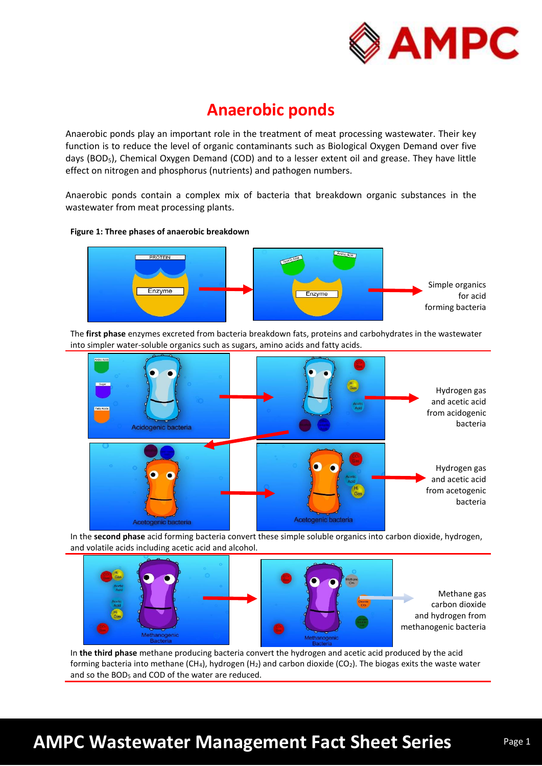

# **Anaerobic ponds**

Anaerobic ponds play an important role in the treatment of meat processing wastewater. Their key function is to reduce the level of organic contaminants such as Biological Oxygen Demand over five days (BOD<sub>5</sub>), Chemical Oxygen Demand (COD) and to a lesser extent oil and grease. They have little effect on nitrogen and phosphorus (nutrients) and pathogen numbers.

Anaerobic ponds contain a complex mix of bacteria that breakdown organic substances in the wastewater from meat processing plants.

### **Figure 1: Three phases of anaerobic breakdown**



The **first phase** enzymes excreted from bacteria breakdown fats, proteins and carbohydrates in the wastewater into simpler water-soluble organics such as sugars, amino acids and fatty acids.



In the **second phase** acid forming bacteria convert these simple soluble organics into carbon dioxide, hydrogen, and volatile acids including acetic acid and alcohol.



Methane gas carbon dioxide and hydrogen from methanogenic bacteria

In **the third phase** methane producing bacteria convert the hydrogen and acetic acid produced by the acid forming bacteria into methane (CH<sub>4</sub>), hydrogen (H<sub>2</sub>) and carbon dioxide (CO<sub>2</sub>). The biogas exits the waste water and so the BOD<sub>5</sub> and COD of the water are reduced.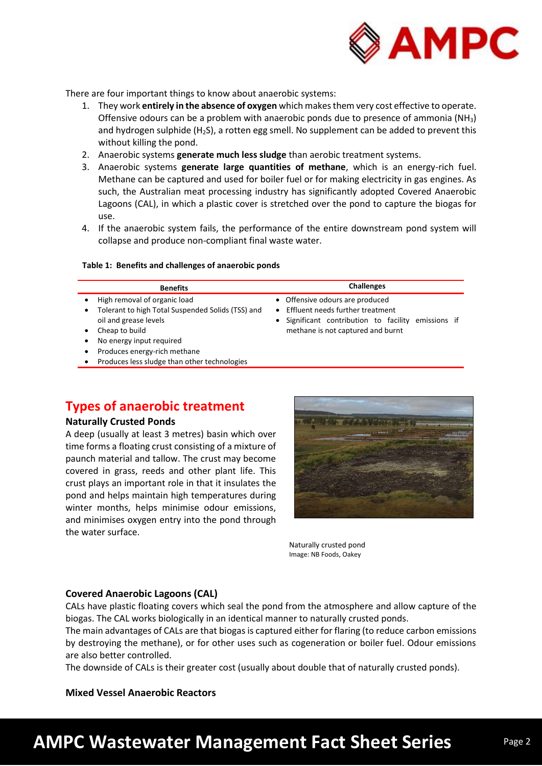

There are four important things to know about anaerobic systems:

- 1. They work **entirely in the absence of oxygen** which makes them very cost effective to operate. Offensive odours can be a problem with anaerobic ponds due to presence of ammonia  $(NH_3)$ and hydrogen sulphide (H<sub>2</sub>S), a rotten egg smell. No supplement can be added to prevent this without killing the pond.
- 2. Anaerobic systems **generate much less sludge** than aerobic treatment systems.
- 3. Anaerobic systems **generate large quantities of methane**, which is an energy-rich fuel. Methane can be captured and used for boiler fuel or for making electricity in gas engines. As such, the Australian meat processing industry has significantly adopted Covered Anaerobic Lagoons (CAL), in which a plastic cover is stretched over the pond to capture the biogas for use.
- 4. If the anaerobic system fails, the performance of the entire downstream pond system will collapse and produce non-compliant final waste water.

### **Table 1: Benefits and challenges of anaerobic ponds**

| <b>Benefits</b>                                                                                                                                                                                                                                                 | <b>Challenges</b>                                                                                                                                                                       |
|-----------------------------------------------------------------------------------------------------------------------------------------------------------------------------------------------------------------------------------------------------------------|-----------------------------------------------------------------------------------------------------------------------------------------------------------------------------------------|
| High removal of organic load<br>Tolerant to high Total Suspended Solids (TSS) and<br>$\bullet$<br>oil and grease levels<br>Cheap to build<br>No energy input required<br>٠<br>Produces energy-rich methane<br>٠<br>Produces less sludge than other technologies | • Offensive odours are produced<br>Effluent needs further treatment<br>$\bullet$<br>Significant contribution to facility emissions if<br>$\bullet$<br>methane is not captured and burnt |

## **Types of anaerobic treatment**

## **Naturally Crusted Ponds**

A deep (usually at least 3 metres) basin which over time forms a floating crust consisting of a mixture of paunch material and tallow. The crust may become covered in grass, reeds and other plant life. This crust plays an important role in that it insulates the pond and helps maintain high temperatures during winter months, helps minimise odour emissions, and minimises oxygen entry into the pond through the water surface.



Naturally crusted pond Image: NB Foods, Oakey

### **Covered Anaerobic Lagoons (CAL)**

CALs have plastic floating covers which seal the pond from the atmosphere and allow capture of the biogas. The CAL works biologically in an identical manner to naturally crusted ponds.

The main advantages of CALs are that biogas is captured either for flaring (to reduce carbon emissions by destroying the methane), or for other uses such as cogeneration or boiler fuel. Odour emissions are also better controlled.

The downside of CALs is their greater cost (usually about double that of naturally crusted ponds).

**Mixed Vessel Anaerobic Reactors**

# **AMPC Wastewater Management Fact Sheet Series**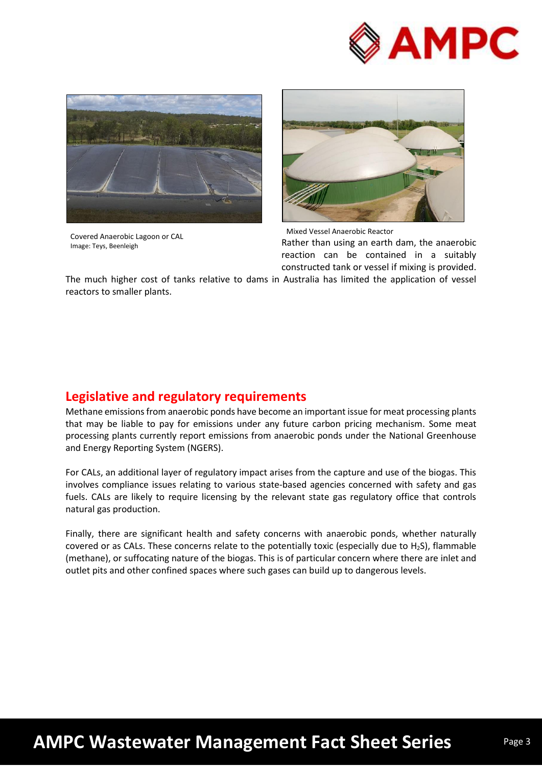



Covered Anaerobic Lagoon or CAL Image: Teys, Beenleigh



Rather than using an earth dam, the anaerobic reaction can be contained in a suitably constructed tank or vessel if mixing is provided. Mixed Vessel Anaerobic Reactor

The much higher cost of tanks relative to dams in Australia has limited the application of vessel reactors to smaller plants.

# **Legislative and regulatory requirements**

Methane emissions from anaerobic ponds have become an important issue for meat processing plants that may be liable to pay for emissions under any future carbon pricing mechanism. Some meat processing plants currently report emissions from anaerobic ponds under the National Greenhouse and Energy Reporting System (NGERS).

For CALs, an additional layer of regulatory impact arises from the capture and use of the biogas. This involves compliance issues relating to various state-based agencies concerned with safety and gas fuels. CALs are likely to require licensing by the relevant state gas regulatory office that controls natural gas production.

Finally, there are significant health and safety concerns with anaerobic ponds, whether naturally covered or as CALs. These concerns relate to the potentially toxic (especially due to  $H_2S$ ), flammable (methane), or suffocating nature of the biogas. This is of particular concern where there are inlet and outlet pits and other confined spaces where such gases can build up to dangerous levels.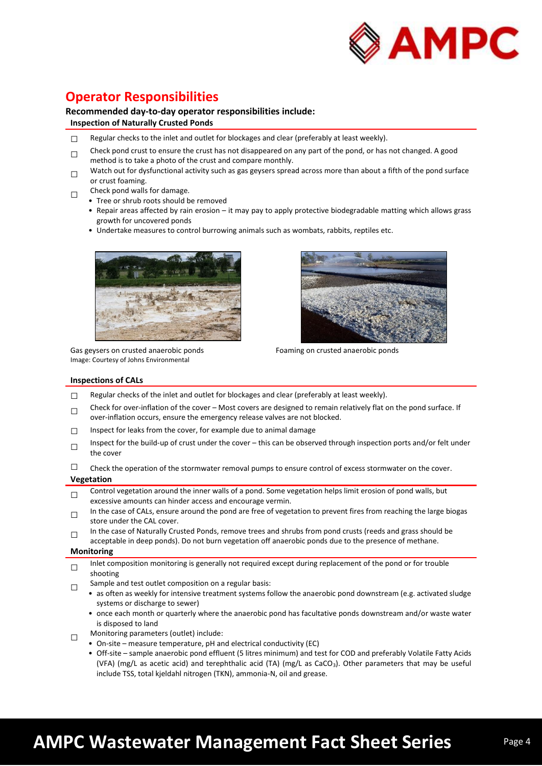

# **Operator Responsibilities**

### **Recommended day-to-day operator responsibilities include:**

#### **Inspection of Naturally Crusted Ponds**

- $\Box$  Regular checks to the inlet and outlet for blockages and clear (preferably at least weekly).
- □ Check pond crust to ensure the crust has not disappeared on any part of the pond, or has not changed. A good method is to take a photo of the crust and compare monthly.
- □ Watch out for dysfunctional activity such as gas geysers spread across more than about a fifth of the pond surface or crust foaming.
- □ Check pond walls for damage.
	- Tree or shrub roots should be removed
	- Repair areas affected by rain erosion it may pay to apply protective biodegradable matting which allows grass growth for uncovered ponds
	- Undertake measures to control burrowing animals such as wombats, rabbits, reptiles etc.



Gas geysers on crusted anaerobic ponds Image: Courtesy of Johns Environmental



Foaming on crusted anaerobic ponds

#### **Inspections of CALs**

- $\Box$  Regular checks of the inlet and outlet for blockages and clear (preferably at least weekly).
- □ Check for over-inflation of the cover – Most covers are designed to remain relatively flat on the pond surface. If over-inflation occurs, ensure the emergency release valves are not blocked.
- $\Box$  Inspect for leaks from the cover, for example due to animal damage
- □ Inspect for the build-up of crust under the cover – this can be observed through inspection ports and/or felt under the cover

 $\Box$  Check the operation of the stormwater removal pumps to ensure control of excess stormwater on the cover.

#### **Vegetation**

- $\Box$ Control vegetation around the inner walls of a pond. Some vegetation helps limit erosion of pond walls, but excessive amounts can hinder access and encourage vermin.
- □ In the case of CALs, ensure around the pond are free of vegetation to prevent fires from reaching the large biogas store under the CAL cover.
- □ In the case of Naturally Crusted Ponds, remove trees and shrubs from pond crusts (reeds and grass should be acceptable in deep ponds). Do not burn vegetation off anaerobic ponds due to the presence of methane.

#### **Monitoring**

- □ Inlet composition monitoring is generally not required except during replacement of the pond or for trouble shooting
- □ Sample and test outlet composition on a regular basis:
	- as often as weekly for intensive treatment systems follow the anaerobic pond downstream (e.g. activated sludge systems or discharge to sewer)
		- once each month or quarterly where the anaerobic pond has facultative ponds downstream and/or waste water is disposed to land
- □ Monitoring parameters (outlet) include:
	- On-site measure temperature, pH and electrical conductivity (EC)
	- Off-site sample anaerobic pond effluent (5 litres minimum) and test for COD and preferably Volatile Fatty Acids (VFA) (mg/L as acetic acid) and terephthalic acid (TA) (mg/L as CaCO<sub>3</sub>). Other parameters that may be useful include TSS, total kjeldahl nitrogen (TKN), ammonia-N, oil and grease.

# **AMPC Wastewater Management Fact Sheet Series**